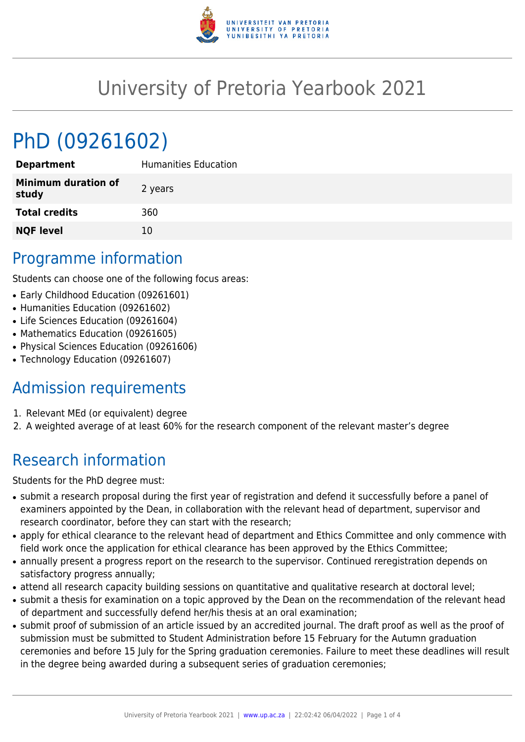

## University of Pretoria Yearbook 2021

# PhD (09261602)

| <b>Department</b>                   | <b>Humanities Education</b> |
|-------------------------------------|-----------------------------|
| <b>Minimum duration of</b><br>study | 2 years                     |
| <b>Total credits</b>                | 360                         |
| <b>NQF level</b>                    | 10                          |

### Programme information

Students can choose one of the following focus areas:

- Early Childhood Education (09261601)
- Humanities Education (09261602)
- Life Sciences Education (09261604)
- Mathematics Education (09261605)
- Physical Sciences Education (09261606)
- Technology Education (09261607)

### Admission requirements

- 1. Relevant MEd (or equivalent) degree
- 2. A weighted average of at least 60% for the research component of the relevant master's degree

### Research information

Students for the PhD degree must:

- submit a research proposal during the first year of registration and defend it successfully before a panel of examiners appointed by the Dean, in collaboration with the relevant head of department, supervisor and research coordinator, before they can start with the research;
- apply for ethical clearance to the relevant head of department and Ethics Committee and only commence with field work once the application for ethical clearance has been approved by the Ethics Committee;
- annually present a progress report on the research to the supervisor. Continued reregistration depends on satisfactory progress annually;
- attend all research capacity building sessions on quantitative and qualitative research at doctoral level;
- submit a thesis for examination on a topic approved by the Dean on the recommendation of the relevant head of department and successfully defend her/his thesis at an oral examination;
- submit proof of submission of an article issued by an accredited journal. The draft proof as well as the proof of submission must be submitted to Student Administration before 15 February for the Autumn graduation ceremonies and before 15 July for the Spring graduation ceremonies. Failure to meet these deadlines will result in the degree being awarded during a subsequent series of graduation ceremonies;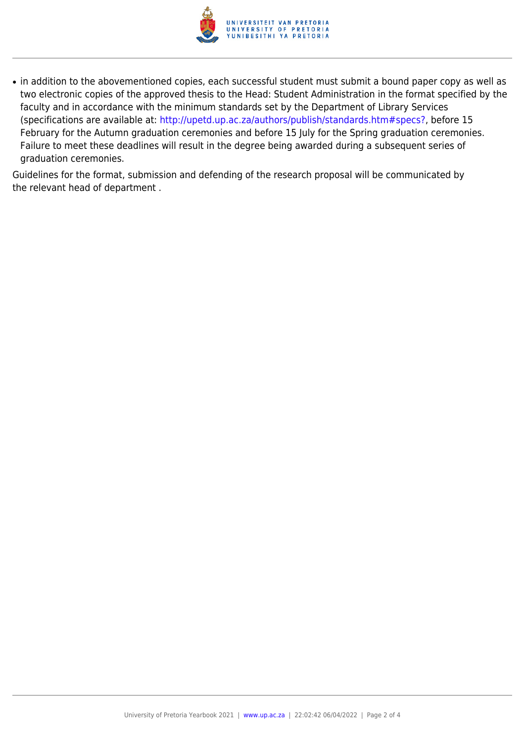

• in addition to the abovementioned copies, each successful student must submit a bound paper copy as well as two electronic copies of the approved thesis to the Head: Student Administration in the format specified by the faculty and in accordance with the minimum standards set by the Department of Library Services (specifications are available at: [http://upetd.up.ac.za/authors/publish/standards.htm#specs?,](http://upetd.up.ac.za/authors/publish/standards.htm#specs) before 15 February for the Autumn graduation ceremonies and before 15 July for the Spring graduation ceremonies. Failure to meet these deadlines will result in the degree being awarded during a subsequent series of graduation ceremonies.

Guidelines for the format, submission and defending of the research proposal will be communicated by the relevant head of department .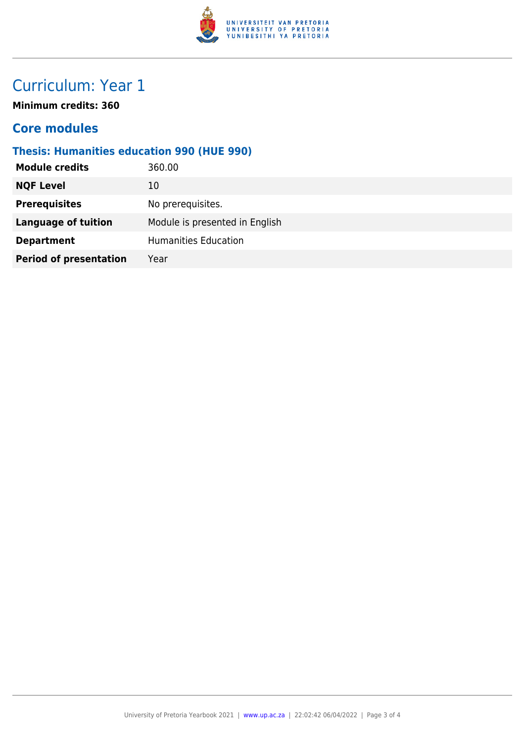

### Curriculum: Year 1

**Minimum credits: 360**

#### **Core modules**

#### **Thesis: Humanities education 990 (HUE 990)**

| <b>Module credits</b>         | 360.00                         |
|-------------------------------|--------------------------------|
| <b>NQF Level</b>              | 10                             |
| <b>Prerequisites</b>          | No prerequisites.              |
| <b>Language of tuition</b>    | Module is presented in English |
| <b>Department</b>             | <b>Humanities Education</b>    |
| <b>Period of presentation</b> | Year                           |
|                               |                                |